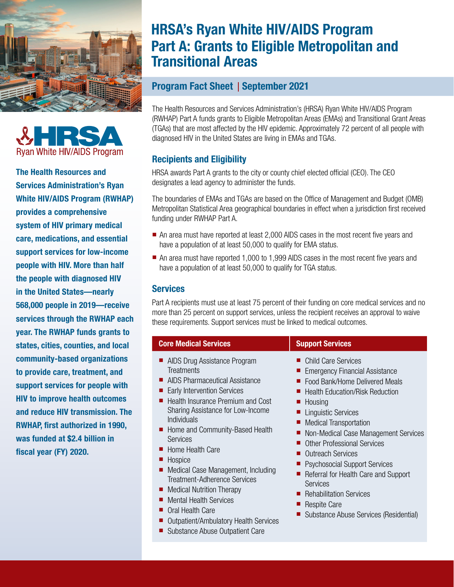



The Health Resources and Services Administration's Ryan White HIV/AIDS Program (RWHAP) provides a comprehensive system of HIV primary medical care, medications, and essential support services for low-income people with HIV. More than half the people with diagnosed HIV in the United States—nearly 568,000 people in 2019—receive services through the RWHAP each year. The RWHAP funds grants to states, cities, counties, and local community-based organizations to provide care, treatment, and support services for people with HIV to improve health outcomes and reduce HIV transmission. The RWHAP, first authorized in 1990, was funded at \$2.4 billion in fiscal year (FY) 2020.

# HRSA's Ryan White HIV/AIDS Program Part A: Grants to Eligible Metropolitan and Transitional Areas

## Program Fact Sheet | September 2021

The Health Resources and Services Administration's (HRSA) Ryan White HIV/AIDS Program (RWHAP) Part A funds grants to Eligible Metropolitan Areas (EMAs) and Transitional Grant Areas (TGAs) that are most affected by the HIV epidemic. Approximately 72 percent of all people with diagnosed HIV in the United States are living in EMAs and TGAs.

## Recipients and Eligibility

HRSA awards Part A grants to the city or county chief elected official (CEO). The CEO designates a lead agency to administer the funds.

The boundaries of EMAs and TGAs are based on the Office of Management and Budget (OMB) Metropolitan Statistical Area geographical boundaries in effect when a jurisdiction first received funding under RWHAP Part A.

- An area must have reported at least 2,000 AIDS cases in the most recent five years and have a population of at least 50,000 to qualify for EMA status.
- An area must have reported 1,000 to 1,999 AIDS cases in the most recent five years and have a population of at least 50,000 to qualify for TGA status.

### **Services**

Part A recipients must use at least 75 percent of their funding on core medical services and no more than 25 percent on support services, unless the recipient receives an approval to waive these requirements. Support services must be linked to medical outcomes.

| <b>Core Medical Services</b>                                                                                                                                                                                                                                                                                                                                                                                                                                                                                                                  | <b>Support Services</b>                                                                                                                                                                                                                                                                                                                                                                                                                                                                                                            |
|-----------------------------------------------------------------------------------------------------------------------------------------------------------------------------------------------------------------------------------------------------------------------------------------------------------------------------------------------------------------------------------------------------------------------------------------------------------------------------------------------------------------------------------------------|------------------------------------------------------------------------------------------------------------------------------------------------------------------------------------------------------------------------------------------------------------------------------------------------------------------------------------------------------------------------------------------------------------------------------------------------------------------------------------------------------------------------------------|
| AIDS Drug Assistance Program<br>Treatments<br>AIDS Pharmaceutical Assistance<br><b>Early Intervention Services</b><br>Health Insurance Premium and Cost<br>Sharing Assistance for Low-Income<br>Individuals<br>• Home and Community-Based Health<br><b>Services</b><br>Home Health Care<br>Hospice<br>Medical Case Management, Including<br>Treatment-Adherence Services<br><b>Medical Nutrition Therapy</b><br><b>Mental Health Services</b><br>Oral Health Care<br>Outpatient/Ambulatory Health Services<br>Substance Abuse Outpatient Care | <b>Child Care Services</b><br><b>Emergency Financial Assistance</b><br>Food Bank/Home Delivered Meals<br><b>Health Education/Risk Reduction</b><br>Housing<br><b>Linguistic Services</b><br><b>Medical Transportation</b><br>Non-Medical Case Management Services<br><b>Other Professional Services</b><br><b>Outreach Services</b><br><b>Psychosocial Support Services</b><br>Referral for Health Care and Support<br><b>Services</b><br>Rehabilitation Services<br><b>Respite Care</b><br>Substance Abuse Services (Residential) |